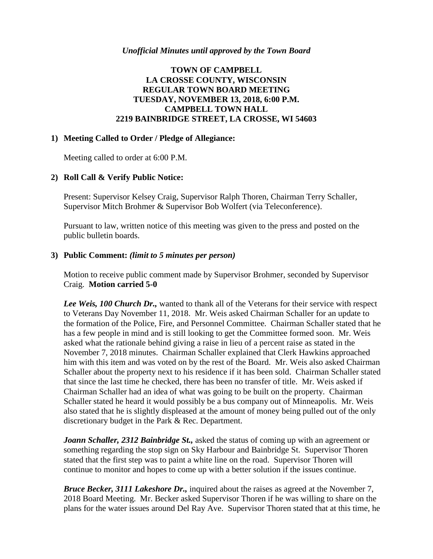# **TOWN OF CAMPBELL LA CROSSE COUNTY, WISCONSIN REGULAR TOWN BOARD MEETING TUESDAY, NOVEMBER 13, 2018, 6:00 P.M. CAMPBELL TOWN HALL 2219 BAINBRIDGE STREET, LA CROSSE, WI 54603**

### **1) Meeting Called to Order / Pledge of Allegiance:**

Meeting called to order at 6:00 P.M.

#### **2) Roll Call & Verify Public Notice:**

Present: Supervisor Kelsey Craig, Supervisor Ralph Thoren, Chairman Terry Schaller, Supervisor Mitch Brohmer & Supervisor Bob Wolfert (via Teleconference).

Pursuant to law, written notice of this meeting was given to the press and posted on the public bulletin boards.

#### **3) Public Comment:** *(limit to 5 minutes per person)*

Motion to receive public comment made by Supervisor Brohmer, seconded by Supervisor Craig. **Motion carried 5-0**

*Lee Weis, 100 Church Dr.,* wanted to thank all of the Veterans for their service with respect to Veterans Day November 11, 2018. Mr. Weis asked Chairman Schaller for an update to the formation of the Police, Fire, and Personnel Committee. Chairman Schaller stated that he has a few people in mind and is still looking to get the Committee formed soon. Mr. Weis asked what the rationale behind giving a raise in lieu of a percent raise as stated in the November 7, 2018 minutes. Chairman Schaller explained that Clerk Hawkins approached him with this item and was voted on by the rest of the Board. Mr. Weis also asked Chairman Schaller about the property next to his residence if it has been sold. Chairman Schaller stated that since the last time he checked, there has been no transfer of title. Mr. Weis asked if Chairman Schaller had an idea of what was going to be built on the property. Chairman Schaller stated he heard it would possibly be a bus company out of Minneapolis. Mr. Weis also stated that he is slightly displeased at the amount of money being pulled out of the only discretionary budget in the Park & Rec. Department.

*Joann Schaller, 2312 Bainbridge St.,* asked the status of coming up with an agreement or something regarding the stop sign on Sky Harbour and Bainbridge St. Supervisor Thoren stated that the first step was to paint a white line on the road. Supervisor Thoren will continue to monitor and hopes to come up with a better solution if the issues continue.

*Bruce Becker, 3111 Lakeshore Dr.,* inquired about the raises as agreed at the November 7, 2018 Board Meeting. Mr. Becker asked Supervisor Thoren if he was willing to share on the plans for the water issues around Del Ray Ave. Supervisor Thoren stated that at this time, he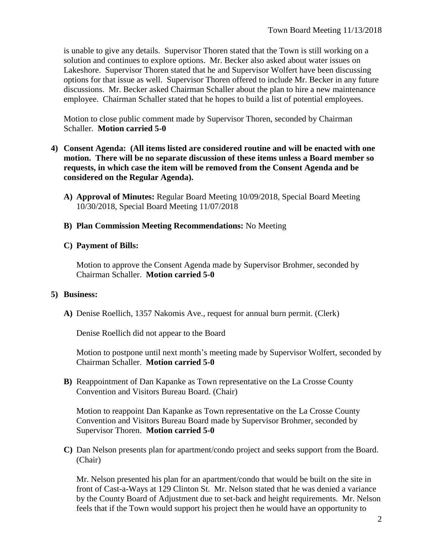is unable to give any details. Supervisor Thoren stated that the Town is still working on a solution and continues to explore options. Mr. Becker also asked about water issues on Lakeshore. Supervisor Thoren stated that he and Supervisor Wolfert have been discussing options for that issue as well. Supervisor Thoren offered to include Mr. Becker in any future discussions. Mr. Becker asked Chairman Schaller about the plan to hire a new maintenance employee. Chairman Schaller stated that he hopes to build a list of potential employees.

Motion to close public comment made by Supervisor Thoren, seconded by Chairman Schaller. **Motion carried 5-0**

- **4) Consent Agenda: (All items listed are considered routine and will be enacted with one motion. There will be no separate discussion of these items unless a Board member so requests, in which case the item will be removed from the Consent Agenda and be considered on the Regular Agenda).**
	- **A) Approval of Minutes:** Regular Board Meeting 10/09/2018, Special Board Meeting 10/30/2018, Special Board Meeting 11/07/2018
	- **B) Plan Commission Meeting Recommendations:** No Meeting
	- **C) Payment of Bills:**

Motion to approve the Consent Agenda made by Supervisor Brohmer, seconded by Chairman Schaller. **Motion carried 5-0**

### **5) Business:**

**A)** Denise Roellich, 1357 Nakomis Ave., request for annual burn permit. (Clerk)

Denise Roellich did not appear to the Board

Motion to postpone until next month's meeting made by Supervisor Wolfert, seconded by Chairman Schaller. **Motion carried 5-0**

**B)** Reappointment of Dan Kapanke as Town representative on the La Crosse County Convention and Visitors Bureau Board. (Chair)

Motion to reappoint Dan Kapanke as Town representative on the La Crosse County Convention and Visitors Bureau Board made by Supervisor Brohmer, seconded by Supervisor Thoren. **Motion carried 5-0**

**C)** Dan Nelson presents plan for apartment/condo project and seeks support from the Board. (Chair)

Mr. Nelson presented his plan for an apartment/condo that would be built on the site in front of Cast-a-Ways at 129 Clinton St. Mr. Nelson stated that he was denied a variance by the County Board of Adjustment due to set-back and height requirements. Mr. Nelson feels that if the Town would support his project then he would have an opportunity to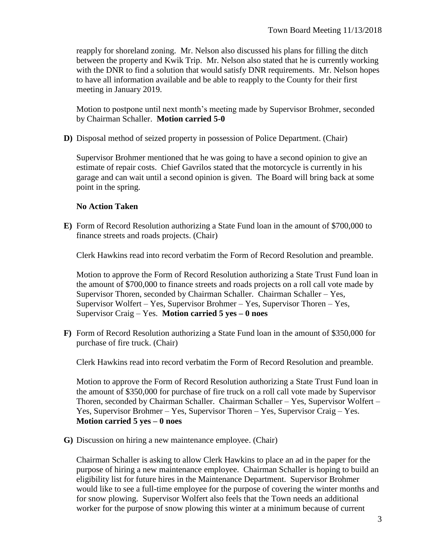reapply for shoreland zoning. Mr. Nelson also discussed his plans for filling the ditch between the property and Kwik Trip. Mr. Nelson also stated that he is currently working with the DNR to find a solution that would satisfy DNR requirements. Mr. Nelson hopes to have all information available and be able to reapply to the County for their first meeting in January 2019.

Motion to postpone until next month's meeting made by Supervisor Brohmer, seconded by Chairman Schaller. **Motion carried 5-0**

**D)** Disposal method of seized property in possession of Police Department. (Chair)

Supervisor Brohmer mentioned that he was going to have a second opinion to give an estimate of repair costs. Chief Gavrilos stated that the motorcycle is currently in his garage and can wait until a second opinion is given. The Board will bring back at some point in the spring.

## **No Action Taken**

**E)** Form of Record Resolution authorizing a State Fund loan in the amount of \$700,000 to finance streets and roads projects. (Chair)

Clerk Hawkins read into record verbatim the Form of Record Resolution and preamble.

Motion to approve the Form of Record Resolution authorizing a State Trust Fund loan in the amount of \$700,000 to finance streets and roads projects on a roll call vote made by Supervisor Thoren, seconded by Chairman Schaller. Chairman Schaller – Yes, Supervisor Wolfert – Yes, Supervisor Brohmer – Yes, Supervisor Thoren – Yes, Supervisor Craig – Yes. **Motion carried 5 yes – 0 noes**

**F)** Form of Record Resolution authorizing a State Fund loan in the amount of \$350,000 for purchase of fire truck. (Chair)

Clerk Hawkins read into record verbatim the Form of Record Resolution and preamble.

Motion to approve the Form of Record Resolution authorizing a State Trust Fund loan in the amount of \$350,000 for purchase of fire truck on a roll call vote made by Supervisor Thoren, seconded by Chairman Schaller. Chairman Schaller – Yes, Supervisor Wolfert – Yes, Supervisor Brohmer – Yes, Supervisor Thoren – Yes, Supervisor Craig – Yes. **Motion carried 5 yes – 0 noes**

**G)** Discussion on hiring a new maintenance employee. (Chair)

Chairman Schaller is asking to allow Clerk Hawkins to place an ad in the paper for the purpose of hiring a new maintenance employee. Chairman Schaller is hoping to build an eligibility list for future hires in the Maintenance Department. Supervisor Brohmer would like to see a full-time employee for the purpose of covering the winter months and for snow plowing. Supervisor Wolfert also feels that the Town needs an additional worker for the purpose of snow plowing this winter at a minimum because of current